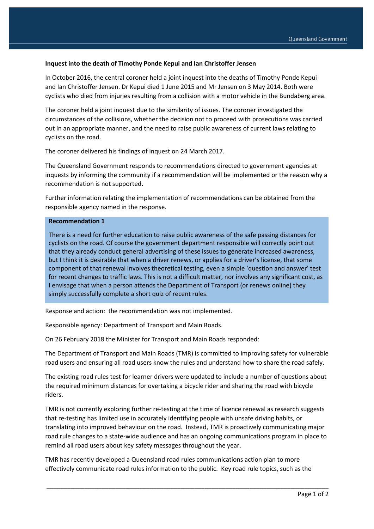## **Inquest into the death of Timothy Ponde Kepui and Ian Christoffer Jensen**

In October 2016, the central coroner held a joint inquest into the deaths of Timothy Ponde Kepui and Ian Christoffer Jensen. Dr Kepui died 1 June 2015 and Mr Jensen on 3 May 2014. Both were cyclists who died from injuries resulting from a collision with a motor vehicle in the Bundaberg area.

The coroner held a joint inquest due to the similarity of issues. The coroner investigated the circumstances of the collisions, whether the decision not to proceed with prosecutions was carried out in an appropriate manner, and the need to raise public awareness of current laws relating to cyclists on the road.

The coroner delivered his findings of inquest on 24 March 2017.

The Queensland Government responds to recommendations directed to government agencies at inquests by informing the community if a recommendation will be implemented or the reason why a recommendation is not supported.

Further information relating the implementation of recommendations can be obtained from the responsible agency named in the response.

## **Recommendation 1**

There is a need for further education to raise public awareness of the safe passing distances for cyclists on the road. Of course the government department responsible will correctly point out that they already conduct general advertising of these issues to generate increased awareness, but I think it is desirable that when a driver renews, or applies for a driver's license, that some component of that renewal involves theoretical testing, even a simple 'question and answer' test for recent changes to traffic laws. This is not a difficult matter, nor involves any significant cost, as I envisage that when a person attends the Department of Transport (or renews online) they simply successfully complete a short quiz of recent rules.

Response and action: the recommendation was not implemented.

Responsible agency: Department of Transport and Main Roads.

On 26 February 2018 the Minister for Transport and Main Roads responded:

The Department of Transport and Main Roads (TMR) is committed to improving safety for vulnerable road users and ensuring all road users know the rules and understand how to share the road safely.

The existing road rules test for learner drivers were updated to include a number of questions about the required minimum distances for overtaking a bicycle rider and sharing the road with bicycle riders.

TMR is not currently exploring further re-testing at the time of licence renewal as research suggests that re-testing has limited use in accurately identifying people with unsafe driving habits, or translating into improved behaviour on the road. Instead, TMR is proactively communicating major road rule changes to a state-wide audience and has an ongoing communications program in place to remind all road users about key safety messages throughout the year.

TMR has recently developed a Queensland road rules communications action plan to more effectively communicate road rules information to the public. Key road rule topics, such as the

\_\_\_\_\_\_\_\_\_\_\_\_\_\_\_\_\_\_\_\_\_\_\_\_\_\_\_\_\_\_\_\_\_\_\_\_\_\_\_\_\_\_\_\_\_\_\_\_\_\_\_\_\_\_\_\_\_\_\_\_\_\_\_\_\_\_\_\_\_\_\_\_\_\_\_\_\_\_\_\_\_\_